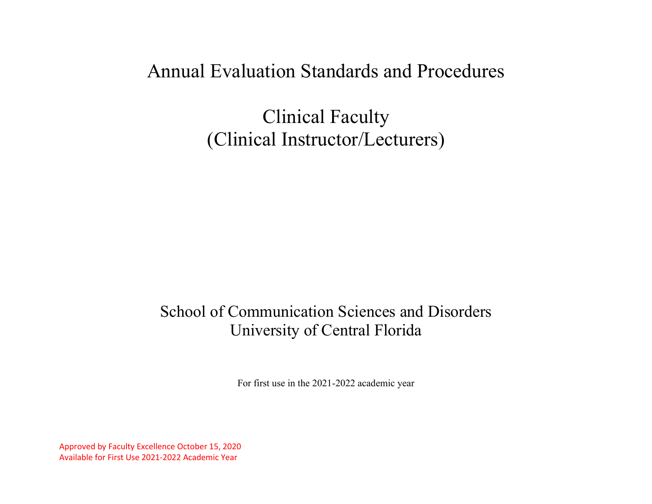# Annual Evaluation Standards and Procedures

Clinical Faculty (Clinical Instructor/Lecturers)

# School of Communication Sciences and Disorders University of Central Florida

For first use in the 2021-2022 academic year

Approved by Faculty Excellence October 15, 2020 Available for First Use 2021-2022 Academic Year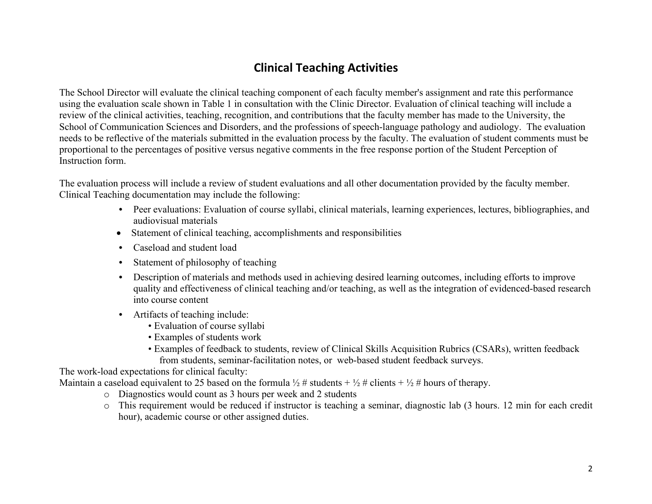# **Clinical Teaching Activities**

The School Director will evaluate the clinical teaching component of each faculty member's assignment and rate this performance using the evaluation scale shown in Table 1 in consultation with the Clinic Director. Evaluation of clinical teaching will include a review of the clinical activities, teaching, recognition, and contributions that the faculty member has made to the University, the School of Communication Sciences and Disorders, and the professions of speech-language pathology and audiology. The evaluation needs to be reflective of the materials submitted in the evaluation process by the faculty. The evaluation of student comments must be proportional to the percentages of positive versus negative comments in the free response portion of the Student Perception of Instruction form.

The evaluation process will include a review of student evaluations and all other documentation provided by the faculty member. Clinical Teaching documentation may include the following:

- Peer evaluations: Evaluation of course syllabi, clinical materials, learning experiences, lectures, bibliographies, and audiovisual materials
- Statement of clinical teaching, accomplishments and responsibilities
- Caseload and student load
- Statement of philosophy of teaching
- Description of materials and methods used in achieving desired learning outcomes, including efforts to improve quality and effectiveness of clinical teaching and/or teaching, as well as the integration of evidenced-based research into course content
- Artifacts of teaching include:
	- Evaluation of course syllabi
	- Examples of students work
	- Examples of feedback to students, review of Clinical Skills Acquisition Rubrics (CSARs), written feedback from students, seminar-facilitation notes, or web-based student feedback surveys.

The work-load expectations for clinical faculty:

Maintain a caseload equivalent to 25 based on the formula  $\frac{1}{2}$  # students +  $\frac{1}{2}$  # clients +  $\frac{1}{2}$  # hours of therapy.

- o Diagnostics would count as 3 hours per week and 2 students
- o This requirement would be reduced if instructor is teaching a seminar, diagnostic lab (3 hours. 12 min for each credit hour), academic course or other assigned duties.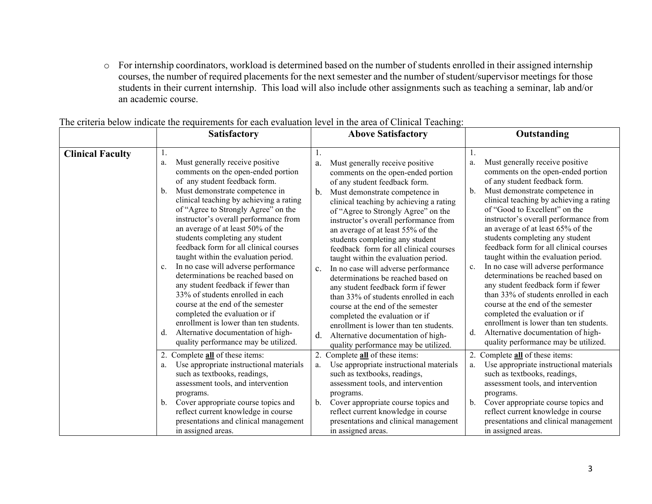o For internship coordinators, workload is determined based on the number of students enrolled in their assigned internship courses, the number of required placements for the next semester and the number of student/supervisor meetings for those students in their current internship. This load will also include other assignments such as teaching a seminar, lab and/or an academic course.

|                         | <b>Satisfactory</b>                                                                                                                                                                                                                                                                                                                                                                                                                                                                                                                                                                                                                                                                                                                                                                                               | <b>Above Satisfactory</b>                                                                                                                                                                                                                                                                                                                                                                                                                                                                                                                                                                                                                                                                                                                                                                                                          | Outstanding                                                                                                                                                                                                                                                                                                                                                                                                                                                                                                                                                                                                                                                                                                                                                                                                                     |
|-------------------------|-------------------------------------------------------------------------------------------------------------------------------------------------------------------------------------------------------------------------------------------------------------------------------------------------------------------------------------------------------------------------------------------------------------------------------------------------------------------------------------------------------------------------------------------------------------------------------------------------------------------------------------------------------------------------------------------------------------------------------------------------------------------------------------------------------------------|------------------------------------------------------------------------------------------------------------------------------------------------------------------------------------------------------------------------------------------------------------------------------------------------------------------------------------------------------------------------------------------------------------------------------------------------------------------------------------------------------------------------------------------------------------------------------------------------------------------------------------------------------------------------------------------------------------------------------------------------------------------------------------------------------------------------------------|---------------------------------------------------------------------------------------------------------------------------------------------------------------------------------------------------------------------------------------------------------------------------------------------------------------------------------------------------------------------------------------------------------------------------------------------------------------------------------------------------------------------------------------------------------------------------------------------------------------------------------------------------------------------------------------------------------------------------------------------------------------------------------------------------------------------------------|
| <b>Clinical Faculty</b> | 1.<br>Must generally receive positive<br>a.<br>comments on the open-ended portion<br>of any student feedback form.<br>Must demonstrate competence in<br>b.<br>clinical teaching by achieving a rating<br>of "Agree to Strongly Agree" on the<br>instructor's overall performance from<br>an average of at least 50% of the<br>students completing any student<br>feedback form for all clinical courses<br>taught within the evaluation period.<br>In no case will adverse performance<br>c.<br>determinations be reached based on<br>any student feedback if fewer than<br>33% of students enrolled in each<br>course at the end of the semester<br>completed the evaluation or if<br>enrollment is lower than ten students.<br>Alternative documentation of high-<br>d.<br>quality performance may be utilized. | 1.<br>Must generally receive positive<br>a.<br>comments on the open-ended portion<br>of any student feedback form.<br>b.<br>Must demonstrate competence in<br>clinical teaching by achieving a rating<br>of "Agree to Strongly Agree" on the<br>instructor's overall performance from<br>an average of at least 55% of the<br>students completing any student<br>feedback form for all clinical courses<br>taught within the evaluation period.<br>In no case will adverse performance<br>$\mathbf{c}$ .<br>determinations be reached based on<br>any student feedback form if fewer<br>than 33% of students enrolled in each<br>course at the end of the semester<br>completed the evaluation or if<br>enrollment is lower than ten students.<br>Alternative documentation of high-<br>d.<br>quality performance may be utilized. | Must generally receive positive<br>a.<br>comments on the open-ended portion<br>of any student feedback form.<br>Must demonstrate competence in<br>$\mathbf{b}$ .<br>clinical teaching by achieving a rating<br>of "Good to Excellent" on the<br>instructor's overall performance from<br>an average of at least 65% of the<br>students completing any student<br>feedback form for all clinical courses<br>taught within the evaluation period.<br>In no case will adverse performance<br>c.<br>determinations be reached based on<br>any student feedback form if fewer<br>than 33% of students enrolled in each<br>course at the end of the semester<br>completed the evaluation or if<br>enrollment is lower than ten students.<br>Alternative documentation of high-<br>$d_{\cdot}$<br>quality performance may be utilized. |
|                         | 2. Complete <b>all</b> of these items:<br>Use appropriate instructional materials<br>a.<br>such as textbooks, readings,<br>assessment tools, and intervention<br>programs.<br>Cover appropriate course topics and<br>b.<br>reflect current knowledge in course<br>presentations and clinical management<br>in assigned areas.                                                                                                                                                                                                                                                                                                                                                                                                                                                                                     | 2.<br>Complete <b>all</b> of these items:<br>Use appropriate instructional materials<br>a.<br>such as textbooks, readings,<br>assessment tools, and intervention<br>programs.<br>Cover appropriate course topics and<br>b.<br>reflect current knowledge in course<br>presentations and clinical management<br>in assigned areas.                                                                                                                                                                                                                                                                                                                                                                                                                                                                                                   | 2. Complete <b>all</b> of these items:<br>Use appropriate instructional materials<br>a.<br>such as textbooks, readings,<br>assessment tools, and intervention<br>programs.<br>Cover appropriate course topics and<br>b.<br>reflect current knowledge in course<br>presentations and clinical management<br>in assigned areas.                                                                                                                                                                                                                                                                                                                                                                                                                                                                                                   |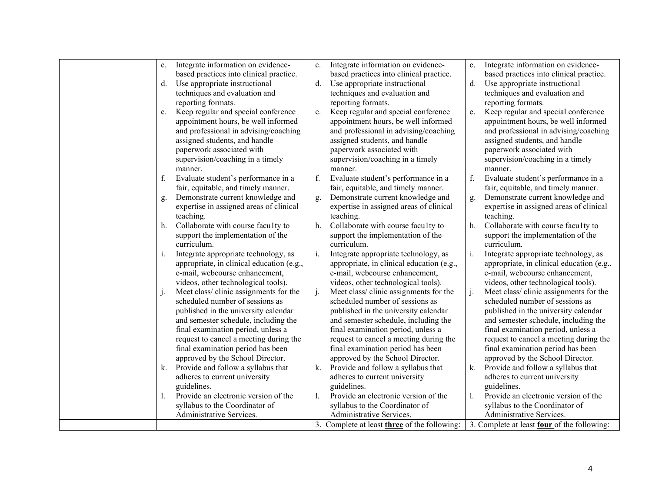| c.          | Integrate information on evidence-        | c. | Integrate information on evidence-                  | c. | Integrate information on evidence-                 |
|-------------|-------------------------------------------|----|-----------------------------------------------------|----|----------------------------------------------------|
|             | based practices into clinical practice.   |    | based practices into clinical practice.             |    | based practices into clinical practice.            |
| $d_{\cdot}$ | Use appropriate instructional             | d. | Use appropriate instructional                       | d. | Use appropriate instructional                      |
|             | techniques and evaluation and             |    | techniques and evaluation and                       |    | techniques and evaluation and                      |
|             | reporting formats.                        |    | reporting formats.                                  |    | reporting formats.                                 |
| e.          | Keep regular and special conference       | e. | Keep regular and special conference                 | e. | Keep regular and special conference                |
|             | appointment hours, be well informed       |    | appointment hours, be well informed                 |    | appointment hours, be well informed                |
|             | and professional in advising/coaching     |    | and professional in advising/coaching               |    | and professional in advising/coaching              |
|             | assigned students, and handle             |    | assigned students, and handle                       |    | assigned students, and handle                      |
|             | paperwork associated with                 |    | paperwork associated with                           |    | paperwork associated with                          |
|             | supervision/coaching in a timely          |    | supervision/coaching in a timely                    |    | supervision/coaching in a timely                   |
|             | manner.                                   |    | manner.                                             |    | manner.                                            |
| f.          | Evaluate student's performance in a       | f. | Evaluate student's performance in a                 | f. | Evaluate student's performance in a                |
|             | fair, equitable, and timely manner.       |    | fair, equitable, and timely manner.                 |    | fair, equitable, and timely manner.                |
| g.          | Demonstrate current knowledge and         | g. | Demonstrate current knowledge and                   | g. | Demonstrate current knowledge and                  |
|             | expertise in assigned areas of clinical   |    | expertise in assigned areas of clinical             |    | expertise in assigned areas of clinical            |
|             | teaching.                                 |    | teaching.                                           |    | teaching.                                          |
| h.          | Collaborate with course faculty to        | h. | Collaborate with course faculty to                  | h. | Collaborate with course faculty to                 |
|             | support the implementation of the         |    | support the implementation of the                   |    | support the implementation of the                  |
|             | curriculum.                               |    | curriculum.                                         |    | curriculum.                                        |
| i.          | Integrate appropriate technology, as      | i. | Integrate appropriate technology, as                | i. | Integrate appropriate technology, as               |
|             | appropriate, in clinical education (e.g., |    | appropriate, in clinical education (e.g.,           |    | appropriate, in clinical education (e.g.,          |
|             | e-mail, webcourse enhancement,            |    | e-mail, webcourse enhancement,                      |    | e-mail, webcourse enhancement,                     |
|             | videos, other technological tools).       |    | videos, other technological tools).                 |    | videos, other technological tools).                |
| j.          | Meet class/clinic assignments for the     | j. | Meet class/clinic assignments for the               | j. | Meet class/clinic assignments for the              |
|             | scheduled number of sessions as           |    | scheduled number of sessions as                     |    | scheduled number of sessions as                    |
|             | published in the university calendar      |    | published in the university calendar                |    | published in the university calendar               |
|             | and semester schedule, including the      |    | and semester schedule, including the                |    | and semester schedule, including the               |
|             | final examination period, unless a        |    | final examination period, unless a                  |    | final examination period, unless a                 |
|             | request to cancel a meeting during the    |    | request to cancel a meeting during the              |    | request to cancel a meeting during the             |
|             | final examination period has been         |    | final examination period has been                   |    | final examination period has been                  |
|             | approved by the School Director.          |    | approved by the School Director.                    |    | approved by the School Director.                   |
| k.          | Provide and follow a syllabus that        | k. | Provide and follow a syllabus that                  | k. | Provide and follow a syllabus that                 |
|             | adheres to current university             |    | adheres to current university                       |    | adheres to current university                      |
|             | guidelines.                               |    | guidelines.                                         |    | guidelines.                                        |
|             | Provide an electronic version of the      | 1. | Provide an electronic version of the                | 1. | Provide an electronic version of the               |
|             | syllabus to the Coordinator of            |    | syllabus to the Coordinator of                      |    | syllabus to the Coordinator of                     |
|             | Administrative Services.                  |    | Administrative Services.                            |    | Administrative Services.                           |
|             |                                           |    | 3. Complete at least <b>three</b> of the following: |    | 3. Complete at least <b>four</b> of the following: |
|             |                                           |    |                                                     |    |                                                    |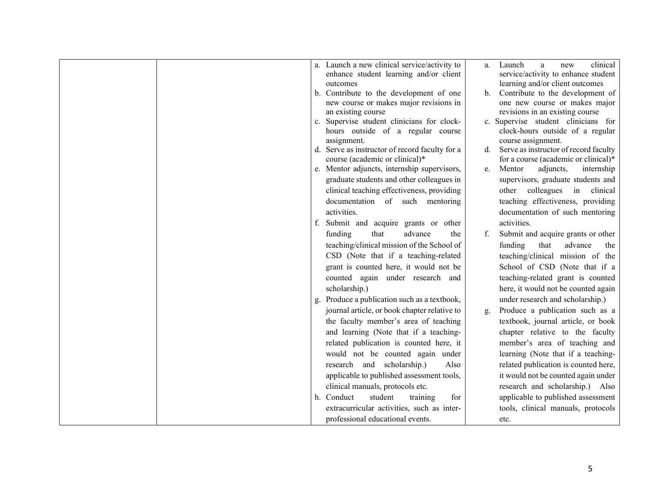| a. Launch a new clinical service/activity to<br>enhance student learning and/or client | clinical<br>Launch<br>a<br>new<br>a.                                   |
|----------------------------------------------------------------------------------------|------------------------------------------------------------------------|
| outcomes                                                                               | service/activity to enhance student<br>learning and/or client outcomes |
| b. Contribute to the development of one                                                | Contribute to the development of<br>b.                                 |
| new course or makes major revisions in                                                 | one new course or makes major                                          |
| an existing course                                                                     | revisions in an existing course                                        |
| c. Supervise student clinicians for clock-                                             | c. Supervise student clinicians for                                    |
| hours outside of a regular course                                                      | clock-hours outside of a regular                                       |
| assignment.                                                                            | course assignment.                                                     |
| d. Serve as instructor of record faculty for a                                         | Serve as instructor of record faculty<br>d.                            |
| course (academic or clinical)*                                                         | for a course (academic or clinical)*                                   |
| e. Mentor adjuncts, internship supervisors,                                            | Mentor<br>adjuncts,<br>internship<br>e.                                |
| graduate students and other colleagues in                                              | supervisors, graduate students and                                     |
| clinical teaching effectiveness, providing                                             | colleagues in<br>clinical<br>other                                     |
| documentation of such mentoring                                                        | teaching effectiveness, providing                                      |
| activities.                                                                            | documentation of such mentoring                                        |
| f. Submit and acquire grants or other                                                  | activities.                                                            |
| that<br>advance<br>the<br>funding                                                      | Submit and acquire grants or other<br>f.                               |
| teaching/clinical mission of the School of                                             | funding<br>that<br>advance<br>the                                      |
| CSD (Note that if a teaching-related                                                   | teaching/clinical mission of the                                       |
| grant is counted here, it would not be                                                 | School of CSD (Note that if a                                          |
| counted again under research and                                                       | teaching-related grant is counted                                      |
| scholarship.)                                                                          | here, it would not be counted again                                    |
| g. Produce a publication such as a textbook,                                           | under research and scholarship.)                                       |
| journal article, or book chapter relative to                                           | Produce a publication such as a<br>g.                                  |
| the faculty member's area of teaching                                                  | textbook, journal article, or book                                     |
| and learning (Note that if a teaching-                                                 | chapter relative to the faculty                                        |
| related publication is counted here, it                                                | member's area of teaching and                                          |
| would not be counted again under                                                       | learning (Note that if a teaching-                                     |
| research and scholarship.)<br>Also                                                     | related publication is counted here,                                   |
| applicable to published assessment tools,                                              | it would not be counted again under                                    |
| clinical manuals, protocols etc.                                                       | research and scholarship.) Also                                        |
| h. Conduct<br>student<br>for<br>training                                               | applicable to published assessment                                     |
| extracurricular activities, such as inter-                                             | tools, clinical manuals, protocols                                     |
|                                                                                        |                                                                        |
| professional educational events.                                                       | etc.                                                                   |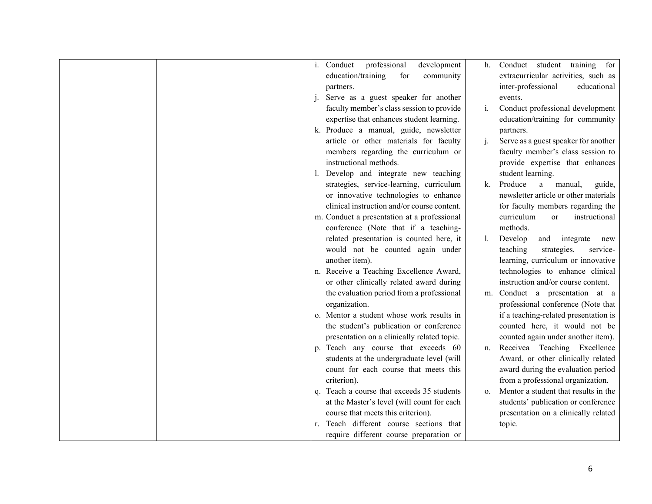| Conduct<br>professional<br>development<br>Conduct student<br>training<br>for<br>$i$ .<br>h.<br>education/training<br>extracurricular activities, such as<br>for<br>community<br>inter-professional<br>educational<br>partners.<br>Serve as a guest speaker for another<br>events.<br>faculty member's class session to provide<br>Conduct professional development<br>i.<br>expertise that enhances student learning.<br>education/training for community<br>k. Produce a manual, guide, newsletter<br>partners.<br>Serve as a guest speaker for another<br>article or other materials for faculty<br>$\mathbf{i}$ .<br>members regarding the curriculum or<br>faculty member's class session to<br>instructional methods.<br>provide expertise that enhances<br>l. Develop and integrate new teaching<br>student learning.<br>strategies, service-learning, curriculum<br>Produce<br>k.<br>manual,<br>$\rm{a}$<br>guide,<br>newsletter article or other materials<br>or innovative technologies to enhance<br>clinical instruction and/or course content.<br>for faculty members regarding the<br>curriculum<br>m. Conduct a presentation at a professional<br>instructional<br><b>or</b><br>methods.<br>conference (Note that if a teaching-<br>related presentation is counted here, it<br>Develop<br>and<br>integrate<br>new<br>would not be counted again under<br>teaching<br>strategies,<br>service-<br>learning, curriculum or innovative<br>another item).<br>technologies to enhance clinical<br>n. Receive a Teaching Excellence Award,<br>or other clinically related award during<br>instruction and/or course content.<br>the evaluation period from a professional<br>Conduct a presentation at a<br>m.<br>organization.<br>professional conference (Note that<br>o. Mentor a student whose work results in<br>if a teaching-related presentation is<br>the student's publication or conference<br>counted here, it would not be<br>presentation on a clinically related topic.<br>counted again under another item).<br>p. Teach any course that exceeds 60<br>Receivea Teaching Excellence<br>n.<br>students at the undergraduate level (will<br>Award, or other clinically related<br>count for each course that meets this<br>award during the evaluation period<br>from a professional organization.<br>criterion).<br>q. Teach a course that exceeds 35 students<br>Mentor a student that results in the<br>0.<br>at the Master's level (will count for each<br>students' publication or conference<br>course that meets this criterion).<br>presentation on a clinically related<br>r. Teach different course sections that<br>topic. |                                         |  |
|-------------------------------------------------------------------------------------------------------------------------------------------------------------------------------------------------------------------------------------------------------------------------------------------------------------------------------------------------------------------------------------------------------------------------------------------------------------------------------------------------------------------------------------------------------------------------------------------------------------------------------------------------------------------------------------------------------------------------------------------------------------------------------------------------------------------------------------------------------------------------------------------------------------------------------------------------------------------------------------------------------------------------------------------------------------------------------------------------------------------------------------------------------------------------------------------------------------------------------------------------------------------------------------------------------------------------------------------------------------------------------------------------------------------------------------------------------------------------------------------------------------------------------------------------------------------------------------------------------------------------------------------------------------------------------------------------------------------------------------------------------------------------------------------------------------------------------------------------------------------------------------------------------------------------------------------------------------------------------------------------------------------------------------------------------------------------------------------------------------------------------------------------------------------------------------------------------------------------------------------------------------------------------------------------------------------------------------------------------------------------------------------------------------------------------------------------------------------------------------------------------------------------------------------------------------------------------------------------------------------------------------------------------------|-----------------------------------------|--|
|                                                                                                                                                                                                                                                                                                                                                                                                                                                                                                                                                                                                                                                                                                                                                                                                                                                                                                                                                                                                                                                                                                                                                                                                                                                                                                                                                                                                                                                                                                                                                                                                                                                                                                                                                                                                                                                                                                                                                                                                                                                                                                                                                                                                                                                                                                                                                                                                                                                                                                                                                                                                                                                             |                                         |  |
|                                                                                                                                                                                                                                                                                                                                                                                                                                                                                                                                                                                                                                                                                                                                                                                                                                                                                                                                                                                                                                                                                                                                                                                                                                                                                                                                                                                                                                                                                                                                                                                                                                                                                                                                                                                                                                                                                                                                                                                                                                                                                                                                                                                                                                                                                                                                                                                                                                                                                                                                                                                                                                                             |                                         |  |
|                                                                                                                                                                                                                                                                                                                                                                                                                                                                                                                                                                                                                                                                                                                                                                                                                                                                                                                                                                                                                                                                                                                                                                                                                                                                                                                                                                                                                                                                                                                                                                                                                                                                                                                                                                                                                                                                                                                                                                                                                                                                                                                                                                                                                                                                                                                                                                                                                                                                                                                                                                                                                                                             |                                         |  |
|                                                                                                                                                                                                                                                                                                                                                                                                                                                                                                                                                                                                                                                                                                                                                                                                                                                                                                                                                                                                                                                                                                                                                                                                                                                                                                                                                                                                                                                                                                                                                                                                                                                                                                                                                                                                                                                                                                                                                                                                                                                                                                                                                                                                                                                                                                                                                                                                                                                                                                                                                                                                                                                             |                                         |  |
|                                                                                                                                                                                                                                                                                                                                                                                                                                                                                                                                                                                                                                                                                                                                                                                                                                                                                                                                                                                                                                                                                                                                                                                                                                                                                                                                                                                                                                                                                                                                                                                                                                                                                                                                                                                                                                                                                                                                                                                                                                                                                                                                                                                                                                                                                                                                                                                                                                                                                                                                                                                                                                                             |                                         |  |
|                                                                                                                                                                                                                                                                                                                                                                                                                                                                                                                                                                                                                                                                                                                                                                                                                                                                                                                                                                                                                                                                                                                                                                                                                                                                                                                                                                                                                                                                                                                                                                                                                                                                                                                                                                                                                                                                                                                                                                                                                                                                                                                                                                                                                                                                                                                                                                                                                                                                                                                                                                                                                                                             |                                         |  |
|                                                                                                                                                                                                                                                                                                                                                                                                                                                                                                                                                                                                                                                                                                                                                                                                                                                                                                                                                                                                                                                                                                                                                                                                                                                                                                                                                                                                                                                                                                                                                                                                                                                                                                                                                                                                                                                                                                                                                                                                                                                                                                                                                                                                                                                                                                                                                                                                                                                                                                                                                                                                                                                             |                                         |  |
|                                                                                                                                                                                                                                                                                                                                                                                                                                                                                                                                                                                                                                                                                                                                                                                                                                                                                                                                                                                                                                                                                                                                                                                                                                                                                                                                                                                                                                                                                                                                                                                                                                                                                                                                                                                                                                                                                                                                                                                                                                                                                                                                                                                                                                                                                                                                                                                                                                                                                                                                                                                                                                                             |                                         |  |
|                                                                                                                                                                                                                                                                                                                                                                                                                                                                                                                                                                                                                                                                                                                                                                                                                                                                                                                                                                                                                                                                                                                                                                                                                                                                                                                                                                                                                                                                                                                                                                                                                                                                                                                                                                                                                                                                                                                                                                                                                                                                                                                                                                                                                                                                                                                                                                                                                                                                                                                                                                                                                                                             |                                         |  |
|                                                                                                                                                                                                                                                                                                                                                                                                                                                                                                                                                                                                                                                                                                                                                                                                                                                                                                                                                                                                                                                                                                                                                                                                                                                                                                                                                                                                                                                                                                                                                                                                                                                                                                                                                                                                                                                                                                                                                                                                                                                                                                                                                                                                                                                                                                                                                                                                                                                                                                                                                                                                                                                             |                                         |  |
|                                                                                                                                                                                                                                                                                                                                                                                                                                                                                                                                                                                                                                                                                                                                                                                                                                                                                                                                                                                                                                                                                                                                                                                                                                                                                                                                                                                                                                                                                                                                                                                                                                                                                                                                                                                                                                                                                                                                                                                                                                                                                                                                                                                                                                                                                                                                                                                                                                                                                                                                                                                                                                                             |                                         |  |
|                                                                                                                                                                                                                                                                                                                                                                                                                                                                                                                                                                                                                                                                                                                                                                                                                                                                                                                                                                                                                                                                                                                                                                                                                                                                                                                                                                                                                                                                                                                                                                                                                                                                                                                                                                                                                                                                                                                                                                                                                                                                                                                                                                                                                                                                                                                                                                                                                                                                                                                                                                                                                                                             |                                         |  |
|                                                                                                                                                                                                                                                                                                                                                                                                                                                                                                                                                                                                                                                                                                                                                                                                                                                                                                                                                                                                                                                                                                                                                                                                                                                                                                                                                                                                                                                                                                                                                                                                                                                                                                                                                                                                                                                                                                                                                                                                                                                                                                                                                                                                                                                                                                                                                                                                                                                                                                                                                                                                                                                             |                                         |  |
|                                                                                                                                                                                                                                                                                                                                                                                                                                                                                                                                                                                                                                                                                                                                                                                                                                                                                                                                                                                                                                                                                                                                                                                                                                                                                                                                                                                                                                                                                                                                                                                                                                                                                                                                                                                                                                                                                                                                                                                                                                                                                                                                                                                                                                                                                                                                                                                                                                                                                                                                                                                                                                                             |                                         |  |
|                                                                                                                                                                                                                                                                                                                                                                                                                                                                                                                                                                                                                                                                                                                                                                                                                                                                                                                                                                                                                                                                                                                                                                                                                                                                                                                                                                                                                                                                                                                                                                                                                                                                                                                                                                                                                                                                                                                                                                                                                                                                                                                                                                                                                                                                                                                                                                                                                                                                                                                                                                                                                                                             |                                         |  |
|                                                                                                                                                                                                                                                                                                                                                                                                                                                                                                                                                                                                                                                                                                                                                                                                                                                                                                                                                                                                                                                                                                                                                                                                                                                                                                                                                                                                                                                                                                                                                                                                                                                                                                                                                                                                                                                                                                                                                                                                                                                                                                                                                                                                                                                                                                                                                                                                                                                                                                                                                                                                                                                             |                                         |  |
|                                                                                                                                                                                                                                                                                                                                                                                                                                                                                                                                                                                                                                                                                                                                                                                                                                                                                                                                                                                                                                                                                                                                                                                                                                                                                                                                                                                                                                                                                                                                                                                                                                                                                                                                                                                                                                                                                                                                                                                                                                                                                                                                                                                                                                                                                                                                                                                                                                                                                                                                                                                                                                                             |                                         |  |
|                                                                                                                                                                                                                                                                                                                                                                                                                                                                                                                                                                                                                                                                                                                                                                                                                                                                                                                                                                                                                                                                                                                                                                                                                                                                                                                                                                                                                                                                                                                                                                                                                                                                                                                                                                                                                                                                                                                                                                                                                                                                                                                                                                                                                                                                                                                                                                                                                                                                                                                                                                                                                                                             |                                         |  |
|                                                                                                                                                                                                                                                                                                                                                                                                                                                                                                                                                                                                                                                                                                                                                                                                                                                                                                                                                                                                                                                                                                                                                                                                                                                                                                                                                                                                                                                                                                                                                                                                                                                                                                                                                                                                                                                                                                                                                                                                                                                                                                                                                                                                                                                                                                                                                                                                                                                                                                                                                                                                                                                             |                                         |  |
|                                                                                                                                                                                                                                                                                                                                                                                                                                                                                                                                                                                                                                                                                                                                                                                                                                                                                                                                                                                                                                                                                                                                                                                                                                                                                                                                                                                                                                                                                                                                                                                                                                                                                                                                                                                                                                                                                                                                                                                                                                                                                                                                                                                                                                                                                                                                                                                                                                                                                                                                                                                                                                                             |                                         |  |
|                                                                                                                                                                                                                                                                                                                                                                                                                                                                                                                                                                                                                                                                                                                                                                                                                                                                                                                                                                                                                                                                                                                                                                                                                                                                                                                                                                                                                                                                                                                                                                                                                                                                                                                                                                                                                                                                                                                                                                                                                                                                                                                                                                                                                                                                                                                                                                                                                                                                                                                                                                                                                                                             |                                         |  |
|                                                                                                                                                                                                                                                                                                                                                                                                                                                                                                                                                                                                                                                                                                                                                                                                                                                                                                                                                                                                                                                                                                                                                                                                                                                                                                                                                                                                                                                                                                                                                                                                                                                                                                                                                                                                                                                                                                                                                                                                                                                                                                                                                                                                                                                                                                                                                                                                                                                                                                                                                                                                                                                             |                                         |  |
|                                                                                                                                                                                                                                                                                                                                                                                                                                                                                                                                                                                                                                                                                                                                                                                                                                                                                                                                                                                                                                                                                                                                                                                                                                                                                                                                                                                                                                                                                                                                                                                                                                                                                                                                                                                                                                                                                                                                                                                                                                                                                                                                                                                                                                                                                                                                                                                                                                                                                                                                                                                                                                                             |                                         |  |
|                                                                                                                                                                                                                                                                                                                                                                                                                                                                                                                                                                                                                                                                                                                                                                                                                                                                                                                                                                                                                                                                                                                                                                                                                                                                                                                                                                                                                                                                                                                                                                                                                                                                                                                                                                                                                                                                                                                                                                                                                                                                                                                                                                                                                                                                                                                                                                                                                                                                                                                                                                                                                                                             |                                         |  |
|                                                                                                                                                                                                                                                                                                                                                                                                                                                                                                                                                                                                                                                                                                                                                                                                                                                                                                                                                                                                                                                                                                                                                                                                                                                                                                                                                                                                                                                                                                                                                                                                                                                                                                                                                                                                                                                                                                                                                                                                                                                                                                                                                                                                                                                                                                                                                                                                                                                                                                                                                                                                                                                             |                                         |  |
|                                                                                                                                                                                                                                                                                                                                                                                                                                                                                                                                                                                                                                                                                                                                                                                                                                                                                                                                                                                                                                                                                                                                                                                                                                                                                                                                                                                                                                                                                                                                                                                                                                                                                                                                                                                                                                                                                                                                                                                                                                                                                                                                                                                                                                                                                                                                                                                                                                                                                                                                                                                                                                                             |                                         |  |
|                                                                                                                                                                                                                                                                                                                                                                                                                                                                                                                                                                                                                                                                                                                                                                                                                                                                                                                                                                                                                                                                                                                                                                                                                                                                                                                                                                                                                                                                                                                                                                                                                                                                                                                                                                                                                                                                                                                                                                                                                                                                                                                                                                                                                                                                                                                                                                                                                                                                                                                                                                                                                                                             |                                         |  |
|                                                                                                                                                                                                                                                                                                                                                                                                                                                                                                                                                                                                                                                                                                                                                                                                                                                                                                                                                                                                                                                                                                                                                                                                                                                                                                                                                                                                                                                                                                                                                                                                                                                                                                                                                                                                                                                                                                                                                                                                                                                                                                                                                                                                                                                                                                                                                                                                                                                                                                                                                                                                                                                             |                                         |  |
|                                                                                                                                                                                                                                                                                                                                                                                                                                                                                                                                                                                                                                                                                                                                                                                                                                                                                                                                                                                                                                                                                                                                                                                                                                                                                                                                                                                                                                                                                                                                                                                                                                                                                                                                                                                                                                                                                                                                                                                                                                                                                                                                                                                                                                                                                                                                                                                                                                                                                                                                                                                                                                                             |                                         |  |
|                                                                                                                                                                                                                                                                                                                                                                                                                                                                                                                                                                                                                                                                                                                                                                                                                                                                                                                                                                                                                                                                                                                                                                                                                                                                                                                                                                                                                                                                                                                                                                                                                                                                                                                                                                                                                                                                                                                                                                                                                                                                                                                                                                                                                                                                                                                                                                                                                                                                                                                                                                                                                                                             |                                         |  |
|                                                                                                                                                                                                                                                                                                                                                                                                                                                                                                                                                                                                                                                                                                                                                                                                                                                                                                                                                                                                                                                                                                                                                                                                                                                                                                                                                                                                                                                                                                                                                                                                                                                                                                                                                                                                                                                                                                                                                                                                                                                                                                                                                                                                                                                                                                                                                                                                                                                                                                                                                                                                                                                             |                                         |  |
|                                                                                                                                                                                                                                                                                                                                                                                                                                                                                                                                                                                                                                                                                                                                                                                                                                                                                                                                                                                                                                                                                                                                                                                                                                                                                                                                                                                                                                                                                                                                                                                                                                                                                                                                                                                                                                                                                                                                                                                                                                                                                                                                                                                                                                                                                                                                                                                                                                                                                                                                                                                                                                                             |                                         |  |
|                                                                                                                                                                                                                                                                                                                                                                                                                                                                                                                                                                                                                                                                                                                                                                                                                                                                                                                                                                                                                                                                                                                                                                                                                                                                                                                                                                                                                                                                                                                                                                                                                                                                                                                                                                                                                                                                                                                                                                                                                                                                                                                                                                                                                                                                                                                                                                                                                                                                                                                                                                                                                                                             |                                         |  |
|                                                                                                                                                                                                                                                                                                                                                                                                                                                                                                                                                                                                                                                                                                                                                                                                                                                                                                                                                                                                                                                                                                                                                                                                                                                                                                                                                                                                                                                                                                                                                                                                                                                                                                                                                                                                                                                                                                                                                                                                                                                                                                                                                                                                                                                                                                                                                                                                                                                                                                                                                                                                                                                             |                                         |  |
|                                                                                                                                                                                                                                                                                                                                                                                                                                                                                                                                                                                                                                                                                                                                                                                                                                                                                                                                                                                                                                                                                                                                                                                                                                                                                                                                                                                                                                                                                                                                                                                                                                                                                                                                                                                                                                                                                                                                                                                                                                                                                                                                                                                                                                                                                                                                                                                                                                                                                                                                                                                                                                                             | require different course preparation or |  |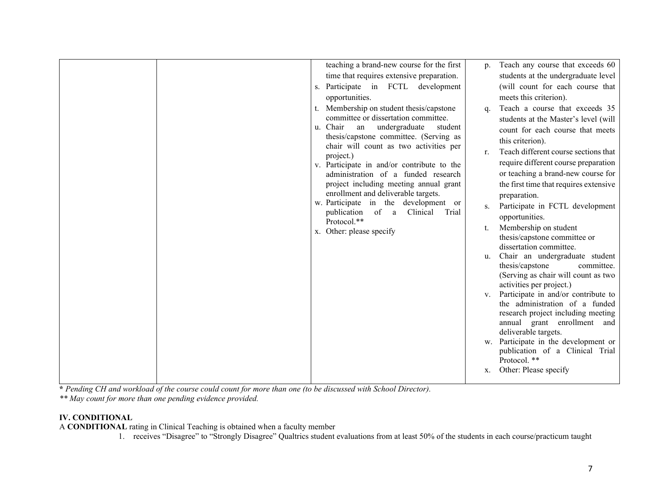**\*** *Pending CH and workload of the course could count for more than one (to be discussed with School Director).*

*\*\* May count for more than one pending evidence provided.*

### **IV. CONDITIONAL**

A **CONDITIONAL** rating in Clinical Teaching is obtained when a faculty member

1. receives "Disagree" to "Strongly Disagree" Qualtrics student evaluations from at least 50% of the students in each course/practicum taught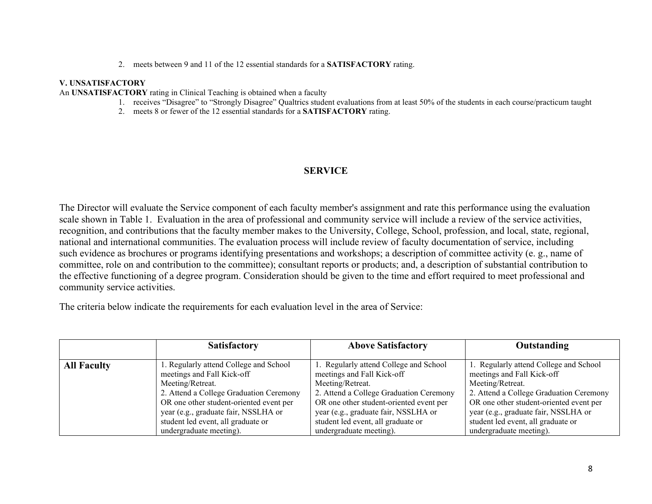2. meets between 9 and 11 of the 12 essential standards for a **SATISFACTORY** rating.

#### **V. UNSATISFACTORY**

An **UNSATISFACTORY** rating in Clinical Teaching is obtained when a faculty

- 1. receives "Disagree" to "Strongly Disagree" Qualtrics student evaluations from at least 50% of the students in each course/practicum taught
- 2. meets 8 or fewer of the 12 essential standards for a **SATISFACTORY** rating.

## **SERVICE**

The Director will evaluate the Service component of each faculty member's assignment and rate this performance using the evaluation scale shown in Table 1. Evaluation in the area of professional and community service will include a review of the service activities, recognition, and contributions that the faculty member makes to the University, College, School, profession, and local, state, regional, national and international communities. The evaluation process will include review of faculty documentation of service, including such evidence as brochures or programs identifying presentations and workshops; a description of committee activity (e. g., name of committee, role on and contribution to the committee); consultant reports or products; and, a description of substantial contribution to the effective functioning of a degree program. Consideration should be given to the time and effort required to meet professional and community service activities.

The criteria below indicate the requirements for each evaluation level in the area of Service:

|                    | <b>Satisfactory</b>                                                  | <b>Above Satisfactory</b>                                            | Outstanding                                                          |
|--------------------|----------------------------------------------------------------------|----------------------------------------------------------------------|----------------------------------------------------------------------|
| <b>All Faculty</b> | 1. Regularly attend College and School<br>meetings and Fall Kick-off | 1. Regularly attend College and School<br>meetings and Fall Kick-off | 1. Regularly attend College and School<br>meetings and Fall Kick-off |
|                    | Meeting/Retreat.                                                     | Meeting/Retreat.                                                     | Meeting/Retreat.                                                     |
|                    | 2. Attend a College Graduation Ceremony                              | 2. Attend a College Graduation Ceremony                              | 2. Attend a College Graduation Ceremony                              |
|                    | OR one other student-oriented event per                              | OR one other student-oriented event per                              | OR one other student-oriented event per                              |
|                    | year (e.g., graduate fair, NSSLHA or                                 | year (e.g., graduate fair, NSSLHA or                                 | year (e.g., graduate fair, NSSLHA or                                 |
|                    | student led event, all graduate or                                   | student led event, all graduate or                                   | student led event, all graduate or                                   |
|                    | undergraduate meeting).                                              | undergraduate meeting).                                              | undergraduate meeting).                                              |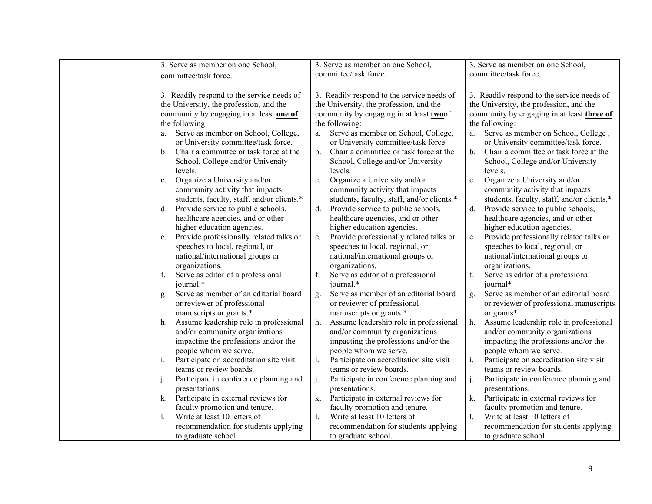| 3. Serve as member on one School,             | 3. Serve as member on one School,                        | 3. Serve as member on one School,             |  |
|-----------------------------------------------|----------------------------------------------------------|-----------------------------------------------|--|
| committee/task force.                         | committee/task force.                                    | committee/task force.                         |  |
|                                               |                                                          |                                               |  |
| 3. Readily respond to the service needs of    | 3. Readily respond to the service needs of               | 3. Readily respond to the service needs of    |  |
| the University, the profession, and the       | the University, the profession, and the                  | the University, the profession, and the       |  |
| community by engaging in at least one of      | community by engaging in at least two of                 | community by engaging in at least three of    |  |
| the following:                                | the following:                                           | the following:                                |  |
| Serve as member on School, College,<br>a.     | Serve as member on School, College,<br>a.                | Serve as member on School, College,<br>a.     |  |
| or University committee/task force.           | or University committee/task force.                      | or University committee/task force.           |  |
| Chair a committee or task force at the<br>b.  | Chair a committee or task force at the<br>$\mathbf{b}$ . | Chair a committee or task force at the<br>b.  |  |
| School, College and/or University             | School, College and/or University                        | School, College and/or University             |  |
| levels.                                       | levels.                                                  | levels.                                       |  |
| Organize a University and/or<br>c.            | Organize a University and/or<br>c.                       | Organize a University and/or<br>c.            |  |
| community activity that impacts               | community activity that impacts                          | community activity that impacts               |  |
| students, faculty, staff, and/or clients.*    | students, faculty, staff, and/or clients.*               | students, faculty, staff, and/or clients.*    |  |
| Provide service to public schools,<br>d.      | Provide service to public schools,<br>d.                 | d.<br>Provide service to public schools,      |  |
| healthcare agencies, and or other             | healthcare agencies, and or other                        | healthcare agencies, and or other             |  |
| higher education agencies.                    | higher education agencies.                               | higher education agencies.                    |  |
| Provide professionally related talks or<br>e. | Provide professionally related talks or<br>e.            | Provide professionally related talks or<br>e. |  |
| speeches to local, regional, or               | speeches to local, regional, or                          | speeches to local, regional, or               |  |
| national/international groups or              | national/international groups or                         | national/international groups or              |  |
| organizations.                                | organizations.                                           | organizations.                                |  |
| Serve as editor of a professional<br>f.       | Serve as editor of a professional<br>f.                  | f.<br>Serve as editor of a professional       |  |
| journal.*                                     | journal.*                                                | journal*                                      |  |
| Serve as member of an editorial board<br>g.   | Serve as member of an editorial board<br>g.              | Serve as member of an editorial board<br>g.   |  |
| or reviewer of professional                   | or reviewer of professional                              | or reviewer of professional manuscripts       |  |
| manuscripts or grants.*                       | manuscripts or grants.*                                  | or grants*                                    |  |
| Assume leadership role in professional<br>h.  | Assume leadership role in professional<br>h.             | Assume leadership role in professional<br>h.  |  |
| and/or community organizations                | and/or community organizations                           | and/or community organizations                |  |
| impacting the professions and/or the          | impacting the professions and/or the                     | impacting the professions and/or the          |  |
| people whom we serve.                         | people whom we serve.                                    | people whom we serve.                         |  |
| Participate on accreditation site visit<br>i. | i.<br>Participate on accreditation site visit            | i.<br>Participate on accreditation site visit |  |
| teams or review boards.                       | teams or review boards.                                  | teams or review boards.                       |  |
| Participate in conference planning and        | j.<br>Participate in conference planning and             | j.<br>Participate in conference planning and  |  |
| presentations.                                | presentations.                                           | presentations.                                |  |
| Participate in external reviews for<br>k.     | Participate in external reviews for<br>k.                | Participate in external reviews for<br>k.     |  |
| faculty promotion and tenure.                 | faculty promotion and tenure.                            | faculty promotion and tenure.                 |  |
| Write at least 10 letters of                  | Write at least 10 letters of<br>1.                       | Write at least 10 letters of<br>1.            |  |
| recommendation for students applying          | recommendation for students applying                     | recommendation for students applying          |  |
| to graduate school.                           | to graduate school.                                      | to graduate school.                           |  |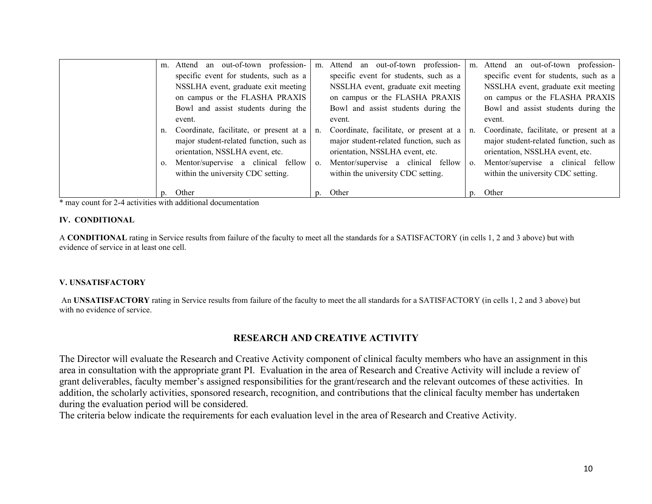|                | m. Attend an out-of-town profession-       |                | m. Attend an out-of-town profession-    | m.             | Attend an out-of-town profession-       |
|----------------|--------------------------------------------|----------------|-----------------------------------------|----------------|-----------------------------------------|
|                | specific event for students, such as a     |                | specific event for students, such as a  |                | specific event for students, such as a  |
|                | NSSLHA event, graduate exit meeting        |                | NSSLHA event, graduate exit meeting     |                | NSSLHA event, graduate exit meeting     |
|                | on campus or the FLASHA PRAXIS             |                | on campus or the FLASHA PRAXIS          |                | on campus or the FLASHA PRAXIS          |
|                | Bowl and assist students during the        |                | Bowl and assist students during the     |                | Bowl and assist students during the     |
|                | event.                                     |                | event.                                  |                | event.                                  |
|                | n. Coordinate, facilitate, or present at a | n <sub>1</sub> | Coordinate, facilitate, or present at a | n.             | Coordinate, facilitate, or present at a |
|                | major student-related function, such as    |                | major student-related function, such as |                | major student-related function, such as |
|                | orientation, NSSLHA event, etc.            |                | orientation, NSSLHA event, etc.         |                | orientation, NSSLHA event, etc.         |
| $\mathbf{0}$ . | Mentor/supervise a clinical fellow         | $\mathbf{O}$ . | Mentor/supervise a clinical fellow      | $\mathbf{0}$ . | Mentor/supervise a clinical fellow      |
|                | within the university CDC setting.         |                | within the university CDC setting.      |                | within the university CDC setting.      |
|                |                                            |                |                                         |                |                                         |
|                | Other                                      |                | p. Other                                | $n_{\rm{}}$    | Other                                   |

\* may count for 2-4 activities with additional documentation

#### **IV. CONDITIONAL**

A **CONDITIONAL** rating in Service results from failure of the faculty to meet all the standards for a SATISFACTORY (in cells 1, 2 and 3 above) but with evidence of service in at least one cell.

#### **V. UNSATISFACTORY**

An **UNSATISFACTORY** rating in Service results from failure of the faculty to meet the all standards for a SATISFACTORY (in cells 1, 2 and 3 above) but with no evidence of service.

### **RESEARCH AND CREATIVE ACTIVITY**

The Director will evaluate the Research and Creative Activity component of clinical faculty members who have an assignment in this area in consultation with the appropriate grant PI. Evaluation in the area of Research and Creative Activity will include a review of grant deliverables, faculty member's assigned responsibilities for the grant/research and the relevant outcomes of these activities. In addition, the scholarly activities, sponsored research, recognition, and contributions that the clinical faculty member has undertaken during the evaluation period will be considered.

The criteria below indicate the requirements for each evaluation level in the area of Research and Creative Activity.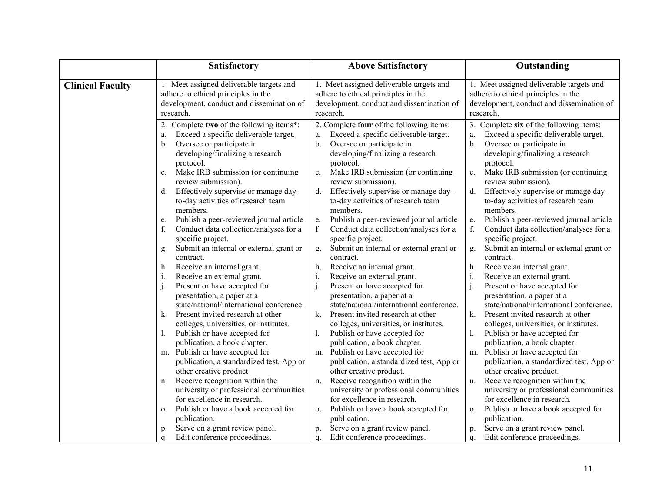|                         | <b>Satisfactory</b>                                                                                                                                                                                                     | <b>Above Satisfactory</b>                                                                                                                                                                                               | Outstanding                                                                                                                                                                                                            |  |
|-------------------------|-------------------------------------------------------------------------------------------------------------------------------------------------------------------------------------------------------------------------|-------------------------------------------------------------------------------------------------------------------------------------------------------------------------------------------------------------------------|------------------------------------------------------------------------------------------------------------------------------------------------------------------------------------------------------------------------|--|
| <b>Clinical Faculty</b> | 1. Meet assigned deliverable targets and<br>adhere to ethical principles in the<br>development, conduct and dissemination of<br>research.                                                                               | 1. Meet assigned deliverable targets and<br>adhere to ethical principles in the<br>development, conduct and dissemination of<br>research.                                                                               | 1. Meet assigned deliverable targets and<br>adhere to ethical principles in the<br>development, conduct and dissemination of<br>research.                                                                              |  |
|                         | 2. Complete two of the following items*:<br>Exceed a specific deliverable target.<br>a.<br>Oversee or participate in<br>b.<br>developing/finalizing a research<br>protocol.<br>Make IRB submission (or continuing<br>c. | 2. Complete four of the following items:<br>Exceed a specific deliverable target.<br>a.<br>Oversee or participate in<br>b.<br>developing/finalizing a research<br>protocol.<br>Make IRB submission (or continuing<br>c. | 3. Complete six of the following items:<br>Exceed a specific deliverable target.<br>a.<br>Oversee or participate in<br>b.<br>developing/finalizing a research<br>protocol.<br>Make IRB submission (or continuing<br>c. |  |
|                         | review submission).<br>Effectively supervise or manage day-<br>d.<br>to-day activities of research team<br>members.                                                                                                     | review submission).<br>Effectively supervise or manage day-<br>$\mathbf{d}$ .<br>to-day activities of research team<br>members.                                                                                         | review submission).<br>Effectively supervise or manage day-<br>d.<br>to-day activities of research team<br>members.                                                                                                    |  |
|                         | Publish a peer-reviewed journal article<br>e.<br>f.<br>Conduct data collection/analyses for a<br>specific project.<br>Submit an internal or external grant or<br>g.                                                     | Publish a peer-reviewed journal article<br>e.<br>f.<br>Conduct data collection/analyses for a<br>specific project.<br>Submit an internal or external grant or                                                           | Publish a peer-reviewed journal article<br>e.<br>f.<br>Conduct data collection/analyses for a<br>specific project.<br>Submit an internal or external grant or<br>g.                                                    |  |
|                         | contract.<br>Receive an internal grant.<br>h.<br>Receive an external grant.<br>i.                                                                                                                                       | g.<br>contract.<br>Receive an internal grant.<br>h.<br>i.<br>Receive an external grant.                                                                                                                                 | contract.<br>Receive an internal grant.<br>h.<br>$\rm i.$<br>Receive an external grant.                                                                                                                                |  |
|                         | Present or have accepted for<br>presentation, a paper at a<br>state/national/international conference.<br>Present invited research at other<br>k.                                                                       | Present or have accepted for<br>presentation, a paper at a<br>state/national/international conference.<br>k.<br>Present invited research at other                                                                       | j.<br>Present or have accepted for<br>presentation, a paper at a<br>state/national/international conference.<br>k.<br>Present invited research at other                                                                |  |
|                         | colleges, universities, or institutes.<br>Publish or have accepted for<br>publication, a book chapter.                                                                                                                  | colleges, universities, or institutes.<br>Publish or have accepted for<br>1.<br>publication, a book chapter.                                                                                                            | colleges, universities, or institutes.<br>Publish or have accepted for<br>1.<br>publication, a book chapter.                                                                                                           |  |
|                         | m. Publish or have accepted for<br>publication, a standardized test, App or<br>other creative product.                                                                                                                  | Publish or have accepted for<br>m.<br>publication, a standardized test, App or<br>other creative product.                                                                                                               | Publish or have accepted for<br>m.<br>publication, a standardized test, App or<br>other creative product.                                                                                                              |  |
|                         | Receive recognition within the<br>n.<br>university or professional communities<br>for excellence in research.<br>Publish or have a book accepted for<br>о.                                                              | Receive recognition within the<br>n.<br>university or professional communities<br>for excellence in research.<br>Publish or have a book accepted for<br>0.                                                              | Receive recognition within the<br>n.<br>university or professional communities<br>for excellence in research.<br>Publish or have a book accepted for<br>0.                                                             |  |
|                         | publication.<br>Serve on a grant review panel.<br>p.<br>Edit conference proceedings.<br>q.                                                                                                                              | publication.<br>Serve on a grant review panel.<br>p.<br>Edit conference proceedings.<br>q.                                                                                                                              | publication.<br>Serve on a grant review panel.<br>p.<br>Edit conference proceedings.<br>q.                                                                                                                             |  |